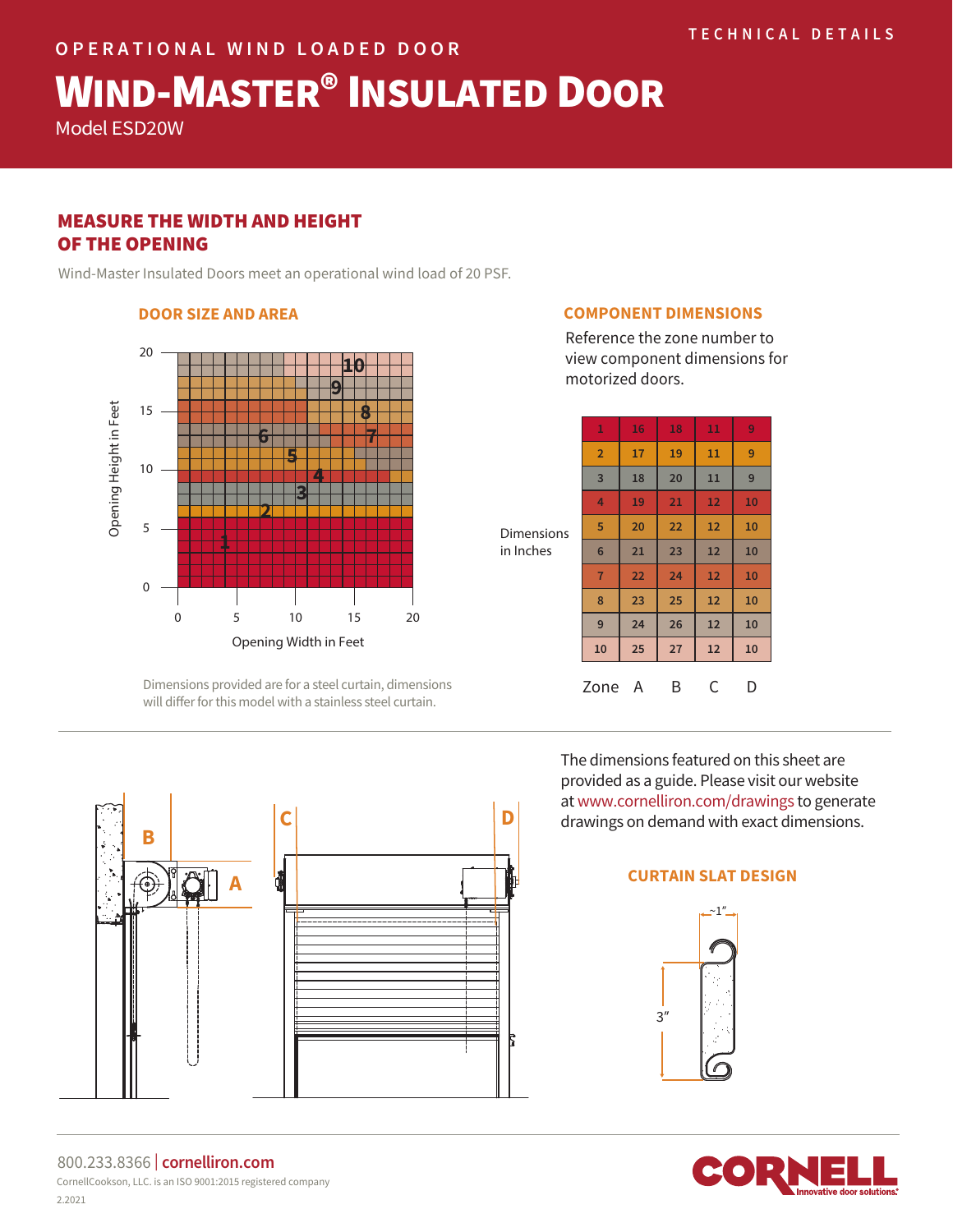# WIND-MASTER® INSULATED DOOR

Model ESD20W

# MEASURE THE WIDTH AND HEIGHT OF THE OPENING

Wind-Master Insulated Doors meet an operational wind load of 20 PSF.

## **DOOR SIZE AND AREA**



Dimensions provided are for a steel curtain, dimensions will differ for this model with a stainless steel curtain.

## **COMPONENT DIMENSIONS**

Reference the zone number to view component dimensions for motorized doors.

| <b>Dimensions</b><br>in Inches | 1              | 16 | 18 | 11 | 9  |
|--------------------------------|----------------|----|----|----|----|
|                                | $\overline{2}$ | 17 | 19 | 11 | 9  |
|                                | 3              | 18 | 20 | 11 | 9  |
|                                | 4              | 19 | 21 | 12 | 10 |
|                                | 5              | 20 | 22 | 12 | 10 |
|                                | $6\phantom{1}$ | 21 | 23 | 12 | 10 |
|                                | $\overline{7}$ | 22 | 24 | 12 | 10 |
|                                | 8              | 23 | 25 | 12 | 10 |
|                                | 9              | 24 | 26 | 12 | 10 |
|                                | 10             | 25 | 27 | 12 | 10 |
|                                | Zone           | A  | B  | C  | D  |

**C D B**

The dimensions featured on this sheet are provided as a guide. Please visit our website at www.cornelliron.com/drawings to generate drawings on demand with exact dimensions.

# **A CURTAIN SLAT DESIGN**